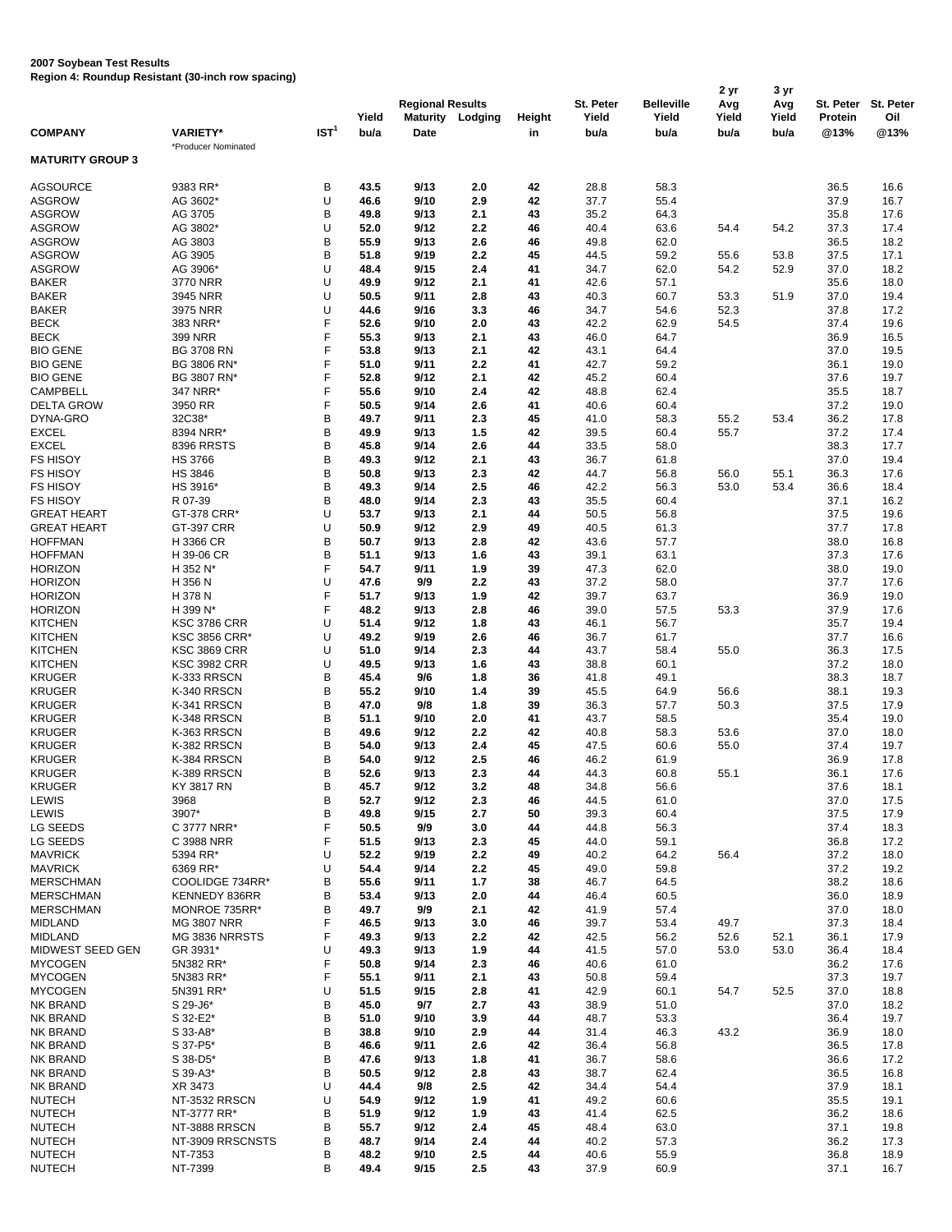## **2007 Soybean Test Results**

**Region 4: Roundup Resistant (30-inch row spacing)**

|                         |                      |                  |       |                         |         |        |           |                   | 2 yr  | 3 yr  |           |           |
|-------------------------|----------------------|------------------|-------|-------------------------|---------|--------|-----------|-------------------|-------|-------|-----------|-----------|
|                         |                      |                  |       | <b>Regional Results</b> |         |        | St. Peter | <b>Belleville</b> | Avg   | Avg   | St. Peter | St. Peter |
|                         |                      |                  | Yield | Maturity                | Lodging | Height | Yield     | Yield             | Yield | Yield | Protein   | Oil       |
| <b>COMPANY</b>          | <b>VARIETY*</b>      | IST <sup>1</sup> | bu/a  | Date                    |         | in     | bu/a      | bu/a              | bu/a  | bu/a  | @13%      | @13%      |
|                         | *Producer Nominated  |                  |       |                         |         |        |           |                   |       |       |           |           |
| <b>MATURITY GROUP 3</b> |                      |                  |       |                         |         |        |           |                   |       |       |           |           |
|                         |                      |                  |       |                         |         |        |           |                   |       |       |           |           |
| AGSOURCE                | 9383 RR*             | B                | 43.5  | 9/13                    | 2.0     | 42     | 28.8      | 58.3              |       |       | 36.5      | 16.6      |
|                         | AG 3602*             |                  |       |                         |         |        |           |                   |       |       |           |           |
| ASGROW                  |                      | U                | 46.6  | 9/10                    | 2.9     | 42     | 37.7      | 55.4              |       |       | 37.9      | 16.7      |
| ASGROW                  | AG 3705              | B                | 49.8  | 9/13                    | 2.1     | 43     | 35.2      | 64.3              |       |       | 35.8      | 17.6      |
| ASGROW                  | AG 3802*             | U                | 52.0  | 9/12                    | 2.2     | 46     | 40.4      | 63.6              | 54.4  | 54.2  | 37.3      | 17.4      |
| ASGROW                  | AG 3803              | B                | 55.9  | 9/13                    | 2.6     | 46     | 49.8      | 62.0              |       |       | 36.5      | 18.2      |
| ASGROW                  | AG 3905              | B                | 51.8  | 9/19                    | 2.2     | 45     | 44.5      | 59.2              | 55.6  | 53.8  | 37.5      | 17.1      |
| <b>ASGROW</b>           | AG 3906*             | U                | 48.4  | 9/15                    | 2.4     | 41     | 34.7      | 62.0              | 54.2  | 52.9  | 37.0      | 18.2      |
| BAKER                   | 3770 NRR             | U                | 49.9  | 9/12                    | 2.1     | 41     | 42.6      | 57.1              |       |       | 35.6      | 18.0      |
| <b>BAKER</b>            | 3945 NRR             | U                | 50.5  | 9/11                    | 2.8     | 43     | 40.3      | 60.7              | 53.3  | 51.9  | 37.0      | 19.4      |
| <b>BAKER</b>            | 3975 NRR             | U                | 44.6  | 9/16                    | 3.3     | 46     | 34.7      | 54.6              | 52.3  |       | 37.8      | 17.2      |
| BECK                    | 383 NRR*             | F                | 52.6  | 9/10                    | 2.0     | 43     | 42.2      | 62.9              | 54.5  |       | 37.4      | 19.6      |
|                         |                      | F                |       |                         | 2.1     |        |           |                   |       |       |           |           |
| BECK                    | 399 NRR              |                  | 55.3  | 9/13                    |         | 43     | 46.0      | 64.7              |       |       | 36.9      | 16.5      |
| <b>BIO GENE</b>         | <b>BG 3708 RN</b>    | F                | 53.8  | 9/13                    | 2.1     | 42     | 43.1      | 64.4              |       |       | 37.0      | 19.5      |
| <b>BIO GENE</b>         | BG 3806 RN*          | F                | 51.0  | 9/11                    | 2.2     | 41     | 42.7      | 59.2              |       |       | 36.1      | 19.0      |
| <b>BIO GENE</b>         | BG 3807 RN*          | F                | 52.8  | 9/12                    | 2.1     | 42     | 45.2      | 60.4              |       |       | 37.6      | 19.7      |
| CAMPBELL                | 347 NRR*             | F                | 55.6  | 9/10                    | 2.4     | 42     | 48.8      | 62.4              |       |       | 35.5      | 18.7      |
| <b>DELTA GROW</b>       | 3950 RR              | F                | 50.5  | 9/14                    | 2.6     | 41     | 40.6      | 60.4              |       |       | 37.2      | 19.0      |
| DYNA-GRO                | 32C38*               | B                | 49.7  | 9/11                    | 2.3     | 45     | 41.0      | 58.3              | 55.2  | 53.4  | 36.2      | 17.8      |
| EXCEL                   | 8394 NRR*            | B                | 49.9  | 9/13                    | 1.5     | 42     | 39.5      | 60.4              | 55.7  |       | 37.2      | 17.4      |
| <b>EXCEL</b>            | 8396 RRSTS           | B                | 45.8  | 9/14                    | 2.6     | 44     | 33.5      | 58.0              |       |       | 38.3      | 17.7      |
| <b>FS HISOY</b>         | <b>HS 3766</b>       | B                | 49.3  | 9/12                    | 2.1     | 43     | 36.7      | 61.8              |       |       | 37.0      | 19.4      |
| <b>FS HISOY</b>         | <b>HS 3846</b>       | B                |       |                         |         |        |           |                   |       |       |           |           |
|                         |                      |                  | 50.8  | 9/13                    | 2.3     | 42     | 44.7      | 56.8              | 56.0  | 55.1  | 36.3      | 17.6      |
| <b>FS HISOY</b>         | HS 3916*             | B                | 49.3  | 9/14                    | 2.5     | 46     | 42.2      | 56.3              | 53.0  | 53.4  | 36.6      | 18.4      |
| <b>FS HISOY</b>         | R 07-39              | B                | 48.0  | 9/14                    | 2.3     | 43     | 35.5      | 60.4              |       |       | 37.1      | 16.2      |
| <b>GREAT HEART</b>      | GT-378 CRR*          | U                | 53.7  | 9/13                    | 2.1     | 44     | 50.5      | 56.8              |       |       | 37.5      | 19.6      |
| <b>GREAT HEART</b>      | <b>GT-397 CRR</b>    | U                | 50.9  | 9/12                    | 2.9     | 49     | 40.5      | 61.3              |       |       | 37.7      | 17.8      |
| <b>HOFFMAN</b>          | H 3366 CR            | B                | 50.7  | 9/13                    | 2.8     | 42     | 43.6      | 57.7              |       |       | 38.0      | 16.8      |
| <b>HOFFMAN</b>          | H 39-06 CR           | B                | 51.1  | 9/13                    | 1.6     | 43     | 39.1      | 63.1              |       |       | 37.3      | 17.6      |
| <b>HORIZON</b>          | H 352 N*             | F                | 54.7  | 9/11                    | 1.9     | 39     | 47.3      | 62.0              |       |       | 38.0      | 19.0      |
| HORIZON                 | H 356 N              | U                | 47.6  | 9/9                     | 2.2     | 43     | 37.2      | 58.0              |       |       | 37.7      | 17.6      |
| HORIZON                 | H 378 N              | F                | 51.7  | 9/13                    | 1.9     | 42     | 39.7      | 63.7              |       |       | 36.9      | 19.0      |
| <b>HORIZON</b>          | H 399 N*             | F                | 48.2  | 9/13                    | 2.8     | 46     | 39.0      | 57.5              | 53.3  |       | 37.9      | 17.6      |
|                         |                      | U                |       | 9/12                    |         |        |           |                   |       |       |           |           |
| <b>KITCHEN</b>          | <b>KSC 3786 CRR</b>  |                  | 51.4  |                         | 1.8     | 43     | 46.1      | 56.7              |       |       | 35.7      | 19.4      |
| <b>KITCHEN</b>          | <b>KSC 3856 CRR*</b> | U                | 49.2  | 9/19                    | 2.6     | 46     | 36.7      | 61.7              |       |       | 37.7      | 16.6      |
| <b>KITCHEN</b>          | <b>KSC 3869 CRR</b>  | U                | 51.0  | 9/14                    | 2.3     | 44     | 43.7      | 58.4              | 55.0  |       | 36.3      | 17.5      |
| <b>KITCHEN</b>          | <b>KSC 3982 CRR</b>  | U                | 49.5  | 9/13                    | 1.6     | 43     | 38.8      | 60.1              |       |       | 37.2      | 18.0      |
| <b>KRUGER</b>           | K-333 RRSCN          | B                | 45.4  | 9/6                     | 1.8     | 36     | 41.8      | 49.1              |       |       | 38.3      | 18.7      |
| <b>KRUGER</b>           | K-340 RRSCN          | B                | 55.2  | 9/10                    | 1.4     | 39     | 45.5      | 64.9              | 56.6  |       | 38.1      | 19.3      |
| KRUGER                  | K-341 RRSCN          | B                | 47.0  | 9/8                     | 1.8     | 39     | 36.3      | 57.7              | 50.3  |       | 37.5      | 17.9      |
| <b>KRUGER</b>           | K-348 RRSCN          | B                | 51.1  | 9/10                    | 2.0     | 41     | 43.7      | 58.5              |       |       | 35.4      | 19.0      |
| KRUGER                  | K-363 RRSCN          | B                | 49.6  | 9/12                    | 2.2     | 42     | 40.8      | 58.3              | 53.6  |       | 37.0      | 18.0      |
| KRUGER                  | K-382 RRSCN          | B                | 54.0  | 9/13                    | 2.4     | 45     | 47.5      | 60.6              | 55.0  |       | 37.4      | 19.7      |
|                         |                      | B                | 54.0  | 9/12                    |         | 46     |           | 61.9              |       |       |           |           |
| KRUGER                  | K-384 RRSCN          | B                |       |                         | 2.5     |        | 46.2      |                   |       |       | 36.9      | 17.8      |
| KRUGER                  | K-389 RRSCN          |                  | 52.6  | 9/13                    | 2.3     | 44     | 44.3      | 60.8              | 55.1  |       | 36.1      | 17.6      |
| KRUGER                  | KY 3817 RN           | В                | 45.7  | 9/12                    | 3.2     | 48     | 34.8      | 56.6              |       |       | 37.6      | 18.1      |
| LEWIS                   | 3968                 | B                | 52.7  | 9/12                    | 2.3     | 46     | 44.5      | 61.0              |       |       | 37.0      | 17.5      |
| LEWIS                   | 3907*                | B                | 49.8  | 9/15                    | 2.7     | 50     | 39.3      | 60.4              |       |       | 37.5      | 17.9      |
| LG SEEDS                | C 3777 NRR*          | F                | 50.5  | 9/9                     | 3.0     | 44     | 44.8      | 56.3              |       |       | 37.4      | 18.3      |
| LG SEEDS                | C 3988 NRR           | F                | 51.5  | 9/13                    | 2.3     | 45     | 44.0      | 59.1              |       |       | 36.8      | 17.2      |
| <b>MAVRICK</b>          | 5394 RR*             | U                | 52.2  | 9/19                    | $2.2\,$ | 49     | 40.2      | 64.2              | 56.4  |       | 37.2      | 18.0      |
| <b>MAVRICK</b>          | 6369 RR*             | U                | 54.4  | 9/14                    | 2.2     | 45     | 49.0      | 59.8              |       |       | 37.2      | 19.2      |
| <b>MERSCHMAN</b>        | COOLIDGE 734RR*      | B                | 55.6  | 9/11                    | 1.7     | 38     | 46.7      | 64.5              |       |       | 38.2      | 18.6      |
| <b>MERSCHMAN</b>        | KENNEDY 836RR        | В                | 53.4  | 9/13                    | 2.0     | 44     | 46.4      | 60.5              |       |       | 36.0      | 18.9      |
| <b>MERSCHMAN</b>        | MONROE 735RR*        | B                | 49.7  | 9/9                     | 2.1     | 42     | 41.9      | 57.4              |       |       | 37.0      | 18.0      |
|                         |                      |                  |       |                         |         |        |           |                   |       |       |           |           |
| <b>MIDLAND</b>          | <b>MG 3807 NRR</b>   | F                | 46.5  | 9/13                    | 3.0     | 46     | 39.7      | 53.4              | 49.7  |       | 37.3      | 18.4      |
| <b>MIDLAND</b>          | MG 3836 NRRSTS       | F                | 49.3  | 9/13                    | $2.2\,$ | 42     | 42.5      | 56.2              | 52.6  | 52.1  | 36.1      | 17.9      |
| MIDWEST SEED GEN        | GR 3931*             | U                | 49.3  | 9/13                    | 1.9     | 44     | 41.5      | 57.0              | 53.0  | 53.0  | 36.4      | 18.4      |
| <b>MYCOGEN</b>          | 5N382 RR*            | F                | 50.8  | 9/14                    | 2.3     | 46     | 40.6      | 61.0              |       |       | 36.2      | 17.6      |
| <b>MYCOGEN</b>          | 5N383 RR*            | F                | 55.1  | 9/11                    | 2.1     | 43     | 50.8      | 59.4              |       |       | 37.3      | 19.7      |
| <b>MYCOGEN</b>          | 5N391 RR*            | U                | 51.5  | 9/15                    | 2.8     | 41     | 42.9      | 60.1              | 54.7  | 52.5  | 37.0      | 18.8      |
| NK BRAND                | S 29-J6*             | B                | 45.0  | 9/7                     | 2.7     | 43     | 38.9      | 51.0              |       |       | 37.0      | 18.2      |
| NK BRAND                | S 32-E2*             | B                | 51.0  | 9/10                    | 3.9     | 44     | 48.7      | 53.3              |       |       | 36.4      | 19.7      |
| NK BRAND                | S 33-A8*             | B                | 38.8  | 9/10                    | 2.9     | 44     | 31.4      | 46.3              | 43.2  |       | 36.9      | 18.0      |
| NK BRAND                | S 37-P5*             | B                | 46.6  | 9/11                    | 2.6     | 42     | 36.4      | 56.8              |       |       | 36.5      | 17.8      |
| NK BRAND                | S 38-D5*             | B                | 47.6  | 9/13                    | 1.8     | 41     | 36.7      | 58.6              |       |       | 36.6      | 17.2      |
|                         |                      | B                |       |                         |         |        |           |                   |       |       |           |           |
| NK BRAND                | S 39-A3*             |                  | 50.5  | 9/12                    | 2.8     | 43     | 38.7      | 62.4              |       |       | 36.5      | 16.8      |
| NK BRAND                | XR 3473              | U                | 44.4  | 9/8                     | 2.5     | 42     | 34.4      | 54.4              |       |       | 37.9      | 18.1      |
| <b>NUTECH</b>           | NT-3532 RRSCN        | U                | 54.9  | 9/12                    | 1.9     | 41     | 49.2      | 60.6              |       |       | 35.5      | 19.1      |
| <b>NUTECH</b>           | NT-3777 RR*          | B                | 51.9  | 9/12                    | 1.9     | 43     | 41.4      | 62.5              |       |       | 36.2      | 18.6      |
| <b>NUTECH</b>           | NT-3888 RRSCN        | B                | 55.7  | 9/12                    | 2.4     | 45     | 48.4      | 63.0              |       |       | 37.1      | 19.8      |
| <b>NUTECH</b>           | NT-3909 RRSCNSTS     | B                | 48.7  | 9/14                    | 2.4     | 44     | 40.2      | 57.3              |       |       | 36.2      | 17.3      |
| <b>NUTECH</b>           | NT-7353              | В                | 48.2  | 9/10                    | 2.5     | 44     | 40.6      | 55.9              |       |       | 36.8      | 18.9      |
| <b>NUTECH</b>           | NT-7399              | B                | 49.4  | 9/15                    | 2.5     | 43     | 37.9      | 60.9              |       |       | 37.1      | 16.7      |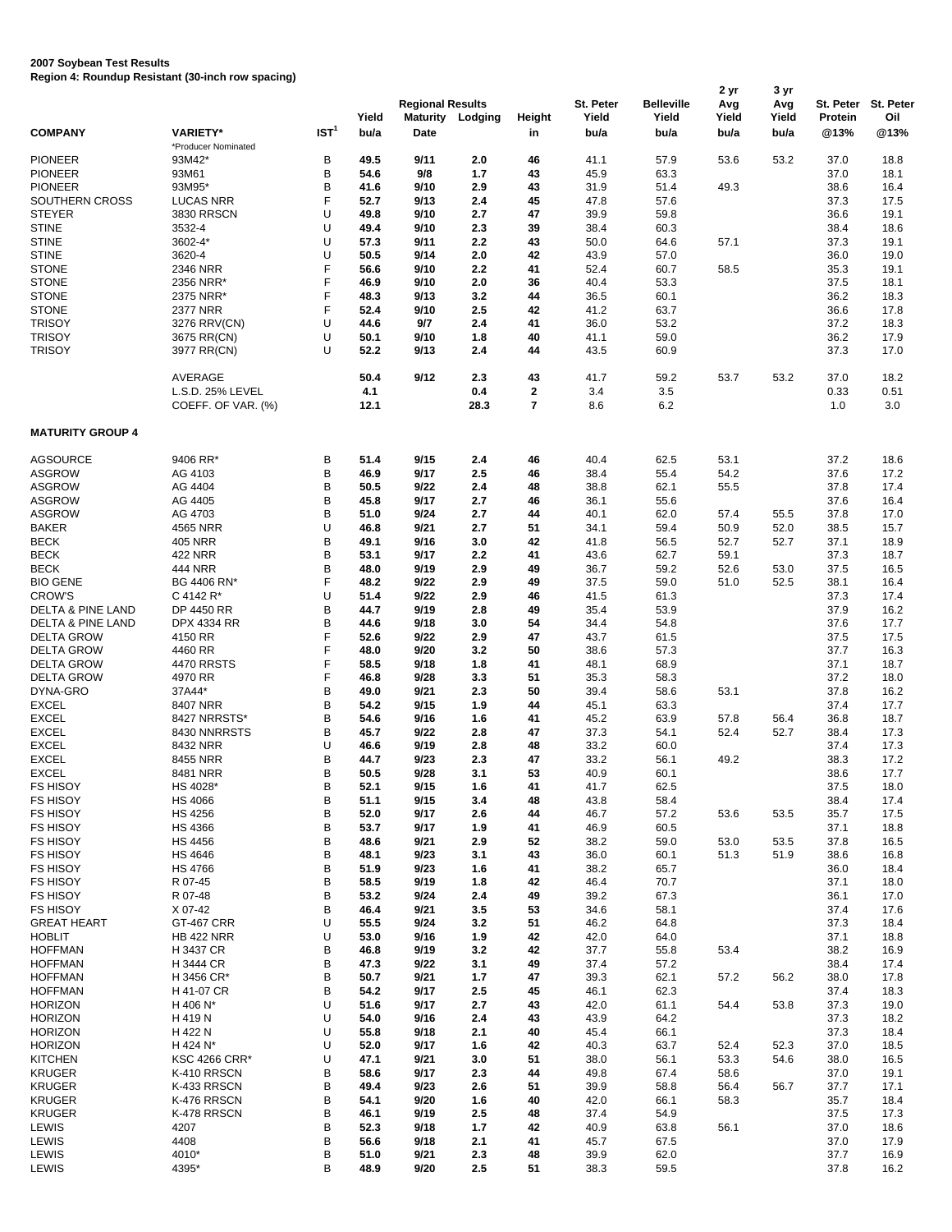## **2007 Soybean Test Results Region 4: Roundup Resistant (30-inch row spacing)**

|                              | Region 4. Rodnaap Resistant (30-men row spacing) |                  |              |                                            |            |                    |                    |                            | 2 yr         | 3 yr         |                      |                  |
|------------------------------|--------------------------------------------------|------------------|--------------|--------------------------------------------|------------|--------------------|--------------------|----------------------------|--------------|--------------|----------------------|------------------|
|                              |                                                  |                  | Yield        | <b>Regional Results</b><br><b>Maturity</b> | Lodging    | Height             | St. Peter<br>Yield | <b>Belleville</b><br>Yield | Avg<br>Yield | Avg<br>Yield | St. Peter<br>Protein | St. Peter<br>Oil |
| <b>COMPANY</b>               | <b>VARIETY*</b>                                  | IST <sup>1</sup> | bu/a         | Date                                       |            | in                 | bu/a               | bu/a                       | bu/a         | bu/a         | @13%                 | @13%             |
| <b>PIONEER</b>               | *Producer Nominated<br>93M42*                    | В                | 49.5         | 9/11                                       | 2.0        | 46                 | 41.1               | 57.9                       | 53.6         | 53.2         | 37.0                 | 18.8             |
| <b>PIONEER</b>               | 93M61                                            | В                | 54.6         | 9/8                                        | 1.7        | 43                 | 45.9               | 63.3                       |              |              | 37.0                 | 18.1             |
| <b>PIONEER</b>               | 93M95*                                           | B                | 41.6         | 9/10                                       | 2.9        | 43                 | 31.9               | 51.4                       | 49.3         |              | 38.6                 | 16.4             |
| SOUTHERN CROSS               | <b>LUCAS NRR</b>                                 | F                | 52.7         | 9/13                                       | 2.4        | 45                 | 47.8               | 57.6                       |              |              | 37.3                 | 17.5             |
| <b>STEYER</b>                | <b>3830 RRSCN</b>                                | U                | 49.8         | 9/10                                       | 2.7        | 47                 | 39.9               | 59.8                       |              |              | 36.6                 | 19.1             |
| <b>STINE</b>                 | 3532-4                                           | U                | 49.4         | 9/10                                       | 2.3        | 39                 | 38.4               | 60.3                       |              |              | 38.4                 | 18.6             |
| <b>STINE</b>                 | 3602-4*                                          | U                | 57.3         | 9/11                                       | 2.2        | 43                 | 50.0               | 64.6                       | 57.1         |              | 37.3                 | 19.1             |
| <b>STINE</b>                 | 3620-4                                           | U                | 50.5         | 9/14                                       | 2.0        | 42                 | 43.9               | 57.0                       |              |              | 36.0                 | 19.0             |
| <b>STONE</b>                 | 2346 NRR                                         | F                | 56.6         | 9/10                                       | 2.2        | 41                 | 52.4               | 60.7                       | 58.5         |              | 35.3                 | 19.1             |
| <b>STONE</b>                 | 2356 NRR*                                        | F                | 46.9         | 9/10                                       | 2.0        | 36                 | 40.4               | 53.3                       |              |              | 37.5                 | 18.1             |
| <b>STONE</b>                 | 2375 NRR*                                        | F                | 48.3         | 9/13                                       | 3.2        | 44                 | 36.5               | 60.1                       |              |              | 36.2                 | 18.3             |
| <b>STONE</b>                 | 2377 NRR                                         | F                | 52.4         | 9/10                                       | 2.5        | 42                 | 41.2               | 63.7                       |              |              | 36.6                 | 17.8             |
| <b>TRISOY</b>                | 3276 RRV(CN)                                     | U                | 44.6         | 9/7                                        | 2.4        | 41                 | 36.0               | 53.2                       |              |              | 37.2                 | 18.3             |
| <b>TRISOY</b>                | 3675 RR(CN)                                      | U                | 50.1         | 9/10                                       | 1.8        | 40                 | 41.1               | 59.0                       |              |              | 36.2                 | 17.9             |
| <b>TRISOY</b>                | 3977 RR(CN)                                      | U                | 52.2         | 9/13                                       | 2.4        | 44                 | 43.5               | 60.9                       |              |              | 37.3                 | 17.0             |
|                              | AVERAGE                                          |                  | 50.4<br>4.1  | 9/12                                       | 2.3<br>0.4 | 43<br>$\mathbf{2}$ | 41.7<br>3.4        | 59.2<br>3.5                | 53.7         | 53.2         | 37.0<br>0.33         | 18.2<br>0.51     |
|                              | L.S.D. 25% LEVEL<br>COEFF. OF VAR. (%)           |                  | 12.1         |                                            | 28.3       | $\overline{7}$     | 8.6                | 6.2                        |              |              | 1.0                  | 3.0              |
| <b>MATURITY GROUP 4</b>      |                                                  |                  |              |                                            |            |                    |                    |                            |              |              |                      |                  |
| <b>AGSOURCE</b>              | 9406 RR*                                         | B                | 51.4         | 9/15                                       | 2.4        | 46                 | 40.4               | 62.5                       | 53.1         |              | 37.2                 | 18.6             |
| <b>ASGROW</b>                | AG 4103                                          | В                | 46.9         | 9/17                                       | 2.5        | 46                 | 38.4               | 55.4                       | 54.2         |              | 37.6                 | 17.2             |
| <b>ASGROW</b>                | AG 4404                                          | B                | 50.5         | 9/22                                       | 2.4        | 48                 | 38.8               | 62.1                       | 55.5         |              | 37.8                 | 17.4             |
| <b>ASGROW</b>                | AG 4405                                          | B                | 45.8         | 9/17                                       | 2.7        | 46                 | 36.1               | 55.6                       |              |              | 37.6                 | 16.4             |
| <b>ASGROW</b>                | AG 4703                                          | B                | 51.0         | 9/24                                       | 2.7        | 44                 | 40.1               | 62.0                       | 57.4         | 55.5         | 37.8                 | 17.0             |
| <b>BAKER</b>                 | 4565 NRR                                         | U                | 46.8         | 9/21                                       | 2.7        | 51                 | 34.1               | 59.4                       | 50.9         | 52.0         | 38.5                 | 15.7             |
| BECK                         | <b>405 NRR</b>                                   | B                | 49.1         | 9/16                                       | 3.0        | 42                 | 41.8               | 56.5                       | 52.7         | 52.7         | 37.1                 | 18.9             |
| <b>BECK</b>                  | <b>422 NRR</b>                                   | B                | 53.1         | 9/17                                       | 2.2        | 41                 | 43.6               | 62.7                       | 59.1         |              | 37.3                 | 18.7             |
| <b>BECK</b>                  | <b>444 NRR</b>                                   | B                | 48.0         | 9/19                                       | 2.9        | 49                 | 36.7               | 59.2                       | 52.6         | 53.0         | 37.5                 | 16.5             |
| <b>BIO GENE</b>              | BG 4406 RN*                                      | F                | 48.2         | 9/22                                       | 2.9        | 49                 | 37.5               | 59.0                       | 51.0         | 52.5         | 38.1                 | 16.4             |
| <b>CROW'S</b>                | C 4142 R <sup>*</sup>                            | U                | 51.4         | 9/22                                       | 2.9        | 46                 | 41.5               | 61.3                       |              |              | 37.3                 | 17.4             |
| DELTA & PINE LAND            | DP 4450 RR                                       | B                | 44.7         | 9/19                                       | 2.8        | 49                 | 35.4               | 53.9                       |              |              | 37.9                 | 16.2             |
| DELTA & PINE LAND            | DPX 4334 RR                                      | B                | 44.6         | 9/18                                       | 3.0        | 54                 | 34.4               | 54.8                       |              |              | 37.6                 | 17.7             |
| <b>DELTA GROW</b>            | 4150 RR                                          | F                | 52.6         | 9/22                                       | 2.9        | 47                 | 43.7               | 61.5                       |              |              | 37.5                 | 17.5             |
| <b>DELTA GROW</b>            | 4460 RR                                          | F                | 48.0         | 9/20                                       | 3.2        | 50                 | 38.6               | 57.3                       |              |              | 37.7                 | 16.3             |
| <b>DELTA GROW</b>            | <b>4470 RRSTS</b>                                | F                | 58.5         | 9/18                                       | 1.8        | 41                 | 48.1               | 68.9                       |              |              | 37.1                 | 18.7             |
| <b>DELTA GROW</b>            | 4970 RR                                          | F                | 46.8         | 9/28                                       | 3.3        | 51                 | 35.3               | 58.3                       |              |              | 37.2                 | 18.0             |
| DYNA-GRO                     | 37A44*                                           | B                | 49.0         | 9/21                                       | 2.3        | 50                 | 39.4               | 58.6                       | 53.1         |              | 37.8                 | 16.2             |
| <b>EXCEL</b>                 | 8407 NRR                                         | B                | 54.2         | 9/15                                       | 1.9        | 44                 | 45.1               | 63.3                       |              |              | 37.4                 | 17.7             |
| <b>EXCEL</b>                 | 8427 NRRSTS*                                     | B                | 54.6         | 9/16                                       | 1.6        | 41                 | 45.2               | 63.9                       | 57.8         | 56.4         | 36.8                 | 18.7             |
| <b>EXCEL</b><br><b>EXCEL</b> | 8430 NNRRSTS                                     | B<br>U           | 45.7         | 9/22<br>9/19                               | 2.8        | 47                 | 37.3               | 54.1                       | 52.4         | 52.7         | 38.4                 | 17.3             |
| <b>EXCEL</b>                 | 8432 NRR<br>8455 NRR                             | B                | 46.6         | 9/23                                       | 2.8        | 48                 | 33.2               | 60.0                       |              |              | 37.4<br>38.3         | 17.3<br>17.2     |
| <b>EXCEL</b>                 | 8481 NRR                                         | В                | 44.7<br>50.5 | 9/28                                       | 2.3        | 47<br>53           | 33.2<br>40.9       | 56.1<br>60.1               | 49.2         |              | 38.6                 | 17.7             |
| FS HISOY                     | HS 4028*                                         | B                | 52.1         | 9/15                                       | 3.1        | 41                 | 41.7               | 62.5                       |              |              | 37.5                 |                  |
| FS HISOY                     | HS 4066                                          | В                | 51.1         | 9/15                                       | 1.6<br>3.4 | 48                 | 43.8               | 58.4                       |              |              | 38.4                 | 18.0<br>17.4     |
| FS HISOY                     | <b>HS 4256</b>                                   | B                | 52.0         | 9/17                                       | 2.6        | 44                 | 46.7               | 57.2                       | 53.6         | 53.5         | 35.7                 | 17.5             |
| <b>FS HISOY</b>              | <b>HS 4366</b>                                   | B                | 53.7         | 9/17                                       | 1.9        | 41                 | 46.9               | 60.5                       |              |              | 37.1                 | 18.8             |
| FS HISOY                     | <b>HS 4456</b>                                   | B                | 48.6         | 9/21                                       | 2.9        | 52                 | 38.2               | 59.0                       | 53.0         | 53.5         | 37.8                 | 16.5             |
| <b>FS HISOY</b>              | <b>HS 4646</b>                                   | B                | 48.1         | 9/23                                       | 3.1        | 43                 | 36.0               | 60.1                       | 51.3         | 51.9         | 38.6                 | 16.8             |
| FS HISOY                     | <b>HS 4766</b>                                   | B                | 51.9         | 9/23                                       | 1.6        | 41                 | 38.2               | 65.7                       |              |              | 36.0                 | 18.4             |
| <b>FS HISOY</b>              | R 07-45                                          | В                | 58.5         | 9/19                                       | 1.8        | 42                 | 46.4               | 70.7                       |              |              | 37.1                 | 18.0             |
| FS HISOY                     | R 07-48                                          | B                | 53.2         | 9/24                                       | 2.4        | 49                 | 39.2               | 67.3                       |              |              | 36.1                 | 17.0             |
| <b>FS HISOY</b>              | X 07-42                                          | В                | 46.4         | 9/21                                       | 3.5        | 53                 | 34.6               | 58.1                       |              |              | 37.4                 | 17.6             |
| <b>GREAT HEART</b>           | <b>GT-467 CRR</b>                                | U                | 55.5         | 9/24                                       | 3.2        | 51                 | 46.2               | 64.8                       |              |              | 37.3                 | 18.4             |
| <b>HOBLIT</b>                | <b>HB 422 NRR</b>                                | U                | 53.0         | 9/16                                       | 1.9        | 42                 | 42.0               | 64.0                       |              |              | 37.1                 | 18.8             |
| <b>HOFFMAN</b>               | H 3437 CR                                        | В                | 46.8         | 9/19                                       | 3.2        | 42                 | 37.7               | 55.8                       | 53.4         |              | 38.2                 | 16.9             |
| <b>HOFFMAN</b>               | H 3444 CR                                        | В                | 47.3         | 9/22                                       | 3.1        | 49                 | 37.4               | 57.2                       |              |              | 38.4                 | 17.4             |
| <b>HOFFMAN</b>               | H 3456 CR*                                       | B                | 50.7         | 9/21                                       | 1.7        | 47                 | 39.3               | 62.1                       | 57.2         | 56.2         | 38.0                 | 17.8             |
| <b>HOFFMAN</b>               | H 41-07 CR                                       | В                | 54.2         | 9/17                                       | 2.5        | 45                 | 46.1               | 62.3                       |              |              | 37.4                 | 18.3             |
| <b>HORIZON</b>               | H 406 N*                                         | U                | 51.6         | 9/17                                       | 2.7        | 43                 | 42.0               | 61.1                       | 54.4         | 53.8         | 37.3                 | 19.0             |
| <b>HORIZON</b>               | H 419 N                                          | U                | 54.0         | 9/16                                       | 2.4        | 43                 | 43.9               | 64.2                       |              |              | 37.3                 | 18.2             |
| <b>HORIZON</b>               | H 422 N                                          | U                | 55.8         | 9/18                                       | 2.1        | 40                 | 45.4               | 66.1                       |              |              | 37.3                 | 18.4             |
| <b>HORIZON</b>               | H 424 N*                                         | U                | 52.0         | 9/17                                       | 1.6        | 42                 | 40.3               | 63.7                       | 52.4         | 52.3         | 37.0                 | 18.5             |
| <b>KITCHEN</b>               | <b>KSC 4266 CRR*</b>                             | U                | 47.1         | 9/21                                       | 3.0        | 51                 | 38.0               | 56.1                       | 53.3         | 54.6         | 38.0                 | 16.5             |
| <b>KRUGER</b>                | K-410 RRSCN                                      | B                | 58.6         | 9/17                                       | 2.3        | 44                 | 49.8               | 67.4                       | 58.6         |              | 37.0                 | 19.1             |
| <b>KRUGER</b>                | K-433 RRSCN                                      | В                | 49.4         | 9/23                                       | 2.6        | 51                 | 39.9               | 58.8                       | 56.4         | 56.7         | 37.7                 | 17.1             |
| <b>KRUGER</b>                | K-476 RRSCN                                      | B                | 54.1         | 9/20                                       | 1.6        | 40                 | 42.0               | 66.1                       | 58.3         |              | 35.7                 | 18.4             |
| <b>KRUGER</b>                | K-478 RRSCN                                      | В                | 46.1         | 9/19                                       | 2.5        | 48                 | 37.4               | 54.9                       |              |              | 37.5                 | 17.3             |
| LEWIS                        | 4207                                             | B                | 52.3         | 9/18                                       | 1.7        | 42                 | 40.9               | 63.8                       | 56.1         |              | 37.0                 | 18.6             |
| LEWIS                        | 4408                                             | B                | 56.6         | 9/18                                       | 2.1        | 41                 | 45.7               | 67.5                       |              |              | 37.0                 | 17.9             |
| LEWIS                        | 4010*                                            | В                | 51.0         | 9/21                                       | 2.3        | 48                 | 39.9               | 62.0                       |              |              | 37.7                 | 16.9             |
| LEWIS                        | 4395*                                            | B                | 48.9         | 9/20                                       | 2.5        | 51                 | 38.3               | 59.5                       |              |              | 37.8                 | 16.2             |